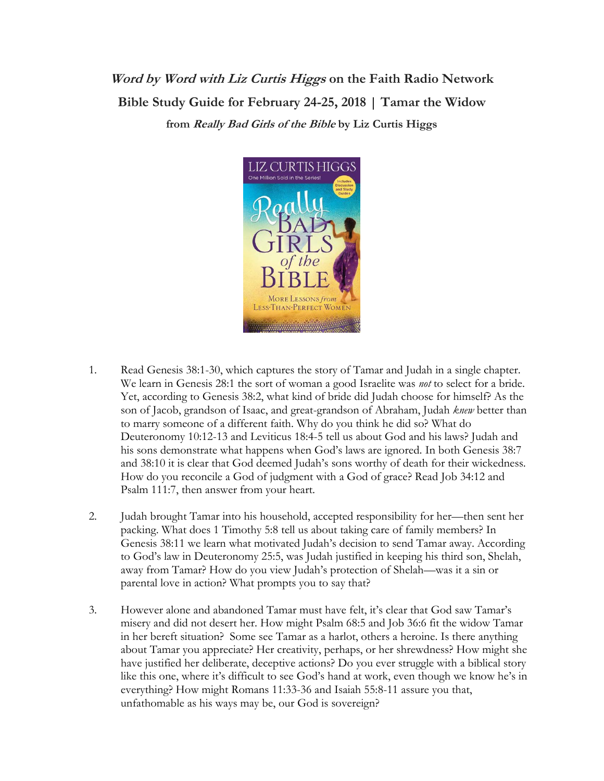**Word by Word with Liz Curtis Higgs on the Faith Radio Network Bible Study Guide for February 24-25, 2018 | Tamar the Widow from Really Bad Girls of the Bible by Liz Curtis Higgs**



- 1. Read Genesis 38:1-30, which captures the story of Tamar and Judah in a single chapter. We learn in Genesis 28:1 the sort of woman a good Israelite was *not* to select for a bride. Yet, according to Genesis 38:2, what kind of bride did Judah choose for himself? As the son of Jacob, grandson of Isaac, and great-grandson of Abraham, Judah *knew* better than to marry someone of a different faith. Why do you think he did so? What do Deuteronomy 10:12-13 and Leviticus 18:4-5 tell us about God and his laws? Judah and his sons demonstrate what happens when God's laws are ignored. In both Genesis 38:7 and 38:10 it is clear that God deemed Judah's sons worthy of death for their wickedness. How do you reconcile a God of judgment with a God of grace? Read Job 34:12 and Psalm 111:7, then answer from your heart.
- 2. Judah brought Tamar into his household, accepted responsibility for her—then sent her packing. What does 1 Timothy 5:8 tell us about taking care of family members? In Genesis 38:11 we learn what motivated Judah's decision to send Tamar away. According to God's law in Deuteronomy 25:5, was Judah justified in keeping his third son, Shelah, away from Tamar? How do you view Judah's protection of Shelah—was it a sin or parental love in action? What prompts you to say that?
- 3. However alone and abandoned Tamar must have felt, it's clear that God saw Tamar's misery and did not desert her. How might Psalm 68:5 and Job 36:6 fit the widow Tamar in her bereft situation? Some see Tamar as a harlot, others a heroine. Is there anything about Tamar you appreciate? Her creativity, perhaps, or her shrewdness? How might she have justified her deliberate, deceptive actions? Do you ever struggle with a biblical story like this one, where it's difficult to see God's hand at work, even though we know he's in everything? How might Romans 11:33-36 and Isaiah 55:8-11 assure you that, unfathomable as his ways may be, our God is sovereign?